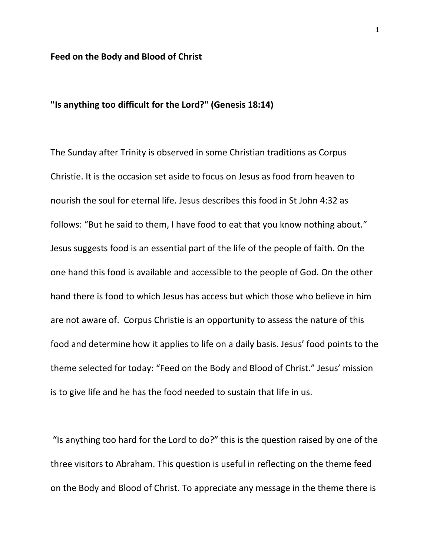## **Feed on the Body and Blood of Christ**

## **"Is anything too difficult for the Lord?" (Genesis 18:14)**

The Sunday after Trinity is observed in some Christian traditions as Corpus Christie. It is the occasion set aside to focus on Jesus as food from heaven to nourish the soul for eternal life. Jesus describes this food in St John 4:32 as follows: "But he said to them, I have food to eat that you know nothing about." Jesus suggests food is an essential part of the life of the people of faith. On the one hand this food is available and accessible to the people of God. On the other hand there is food to which Jesus has access but which those who believe in him are not aware of. Corpus Christie is an opportunity to assess the nature of this food and determine how it applies to life on a daily basis. Jesus' food points to the theme selected for today: "Feed on the Body and Blood of Christ." Jesus' mission is to give life and he has the food needed to sustain that life in us.

"Is anything too hard for the Lord to do?" this is the question raised by one of the three visitors to Abraham. This question is useful in reflecting on the theme feed on the Body and Blood of Christ. To appreciate any message in the theme there is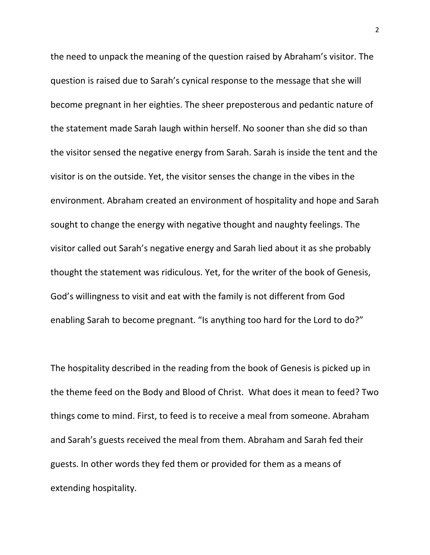the need to unpack the meaning of the question raised by Abraham's visitor. The question is raised due to Sarah's cynical response to the message that she will become pregnant in her eighties. The sheer preposterous and pedantic nature of the statement made Sarah laugh within herself. No sooner than she did so than the visitor sensed the negative energy from Sarah. Sarah is inside the tent and the visitor is on the outside. Yet, the visitor senses the change in the vibes in the environment. Abraham created an environment of hospitality and hope and Sarah sought to change the energy with negative thought and naughty feelings. The visitor called out Sarah's negative energy and Sarah lied about it as she probably thought the statement was ridiculous. Yet, for the writer of the book of Genesis, God's willingness to visit and eat with the family is not different from God enabling Sarah to become pregnant. "Is anything too hard for the Lord to do?"

The hospitality described in the reading from the book of Genesis is picked up in the theme feed on the Body and Blood of Christ. What does it mean to feed? Two things come to mind. First, to feed is to receive a meal from someone. Abraham and Sarah's guests received the meal from them. Abraham and Sarah fed their guests. In other words they fed them or provided for them as a means of extending hospitality.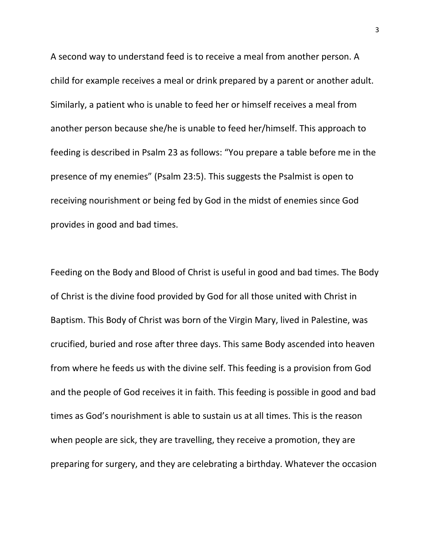A second way to understand feed is to receive a meal from another person. A child for example receives a meal or drink prepared by a parent or another adult. Similarly, a patient who is unable to feed her or himself receives a meal from another person because she/he is unable to feed her/himself. This approach to feeding is described in Psalm 23 as follows: "You prepare a table before me in the presence of my enemies" (Psalm 23:5). This suggests the Psalmist is open to receiving nourishment or being fed by God in the midst of enemies since God provides in good and bad times.

Feeding on the Body and Blood of Christ is useful in good and bad times. The Body of Christ is the divine food provided by God for all those united with Christ in Baptism. This Body of Christ was born of the Virgin Mary, lived in Palestine, was crucified, buried and rose after three days. This same Body ascended into heaven from where he feeds us with the divine self. This feeding is a provision from God and the people of God receives it in faith. This feeding is possible in good and bad times as God's nourishment is able to sustain us at all times. This is the reason when people are sick, they are travelling, they receive a promotion, they are preparing for surgery, and they are celebrating a birthday. Whatever the occasion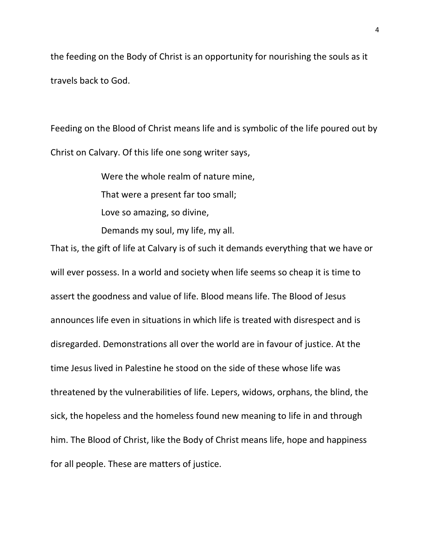the feeding on the Body of Christ is an opportunity for nourishing the souls as it travels back to God.

Feeding on the Blood of Christ means life and is symbolic of the life poured out by Christ on Calvary. Of this life one song writer says,

> Were the whole realm of nature mine, That were a present far too small; Love so amazing, so divine, Demands my soul, my life, my all.

That is, the gift of life at Calvary is of such it demands everything that we have or will ever possess. In a world and society when life seems so cheap it is time to assert the goodness and value of life. Blood means life. The Blood of Jesus announces life even in situations in which life is treated with disrespect and is disregarded. Demonstrations all over the world are in favour of justice. At the time Jesus lived in Palestine he stood on the side of these whose life was threatened by the vulnerabilities of life. Lepers, widows, orphans, the blind, the sick, the hopeless and the homeless found new meaning to life in and through him. The Blood of Christ, like the Body of Christ means life, hope and happiness for all people. These are matters of justice.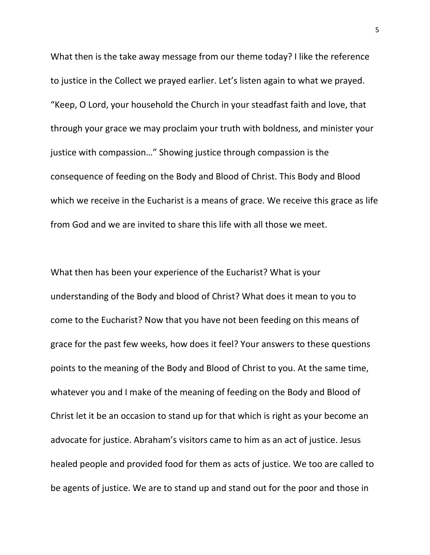What then is the take away message from our theme today? I like the reference to justice in the Collect we prayed earlier. Let's listen again to what we prayed. "Keep, O Lord, your household the Church in your steadfast faith and love, that through your grace we may proclaim your truth with boldness, and minister your justice with compassion…" Showing justice through compassion is the consequence of feeding on the Body and Blood of Christ. This Body and Blood which we receive in the Eucharist is a means of grace. We receive this grace as life from God and we are invited to share this life with all those we meet.

What then has been your experience of the Eucharist? What is your understanding of the Body and blood of Christ? What does it mean to you to come to the Eucharist? Now that you have not been feeding on this means of grace for the past few weeks, how does it feel? Your answers to these questions points to the meaning of the Body and Blood of Christ to you. At the same time, whatever you and I make of the meaning of feeding on the Body and Blood of Christ let it be an occasion to stand up for that which is right as your become an advocate for justice. Abraham's visitors came to him as an act of justice. Jesus healed people and provided food for them as acts of justice. We too are called to be agents of justice. We are to stand up and stand out for the poor and those in